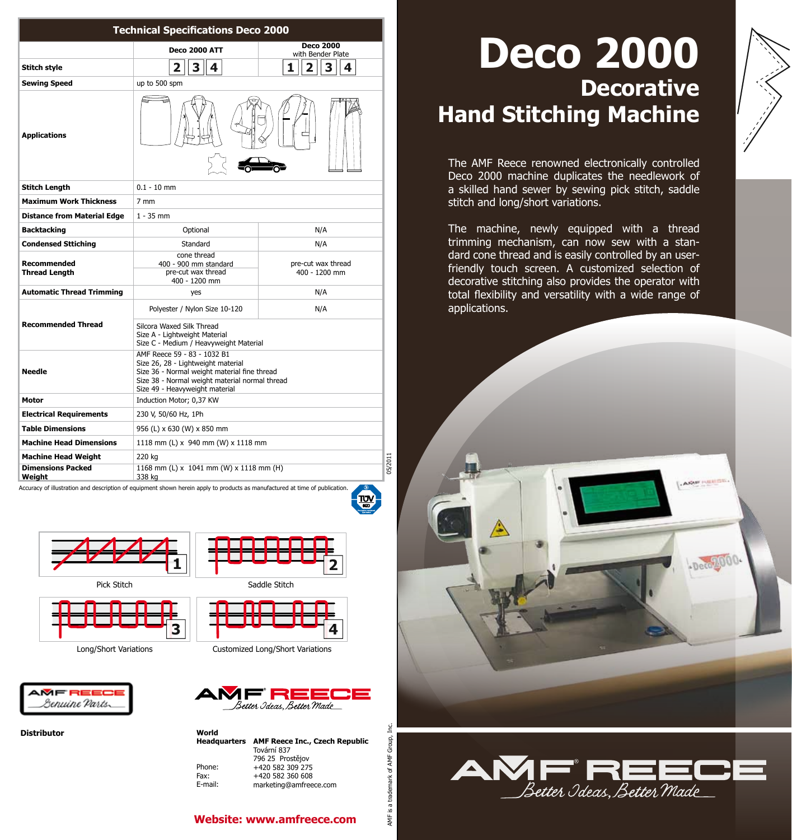| <b>Technical Specifications Deco 2000</b>                                                 |                                                                                                                                                                        |                                                                                                                                                                                  |
|-------------------------------------------------------------------------------------------|------------------------------------------------------------------------------------------------------------------------------------------------------------------------|----------------------------------------------------------------------------------------------------------------------------------------------------------------------------------|
|                                                                                           | <b>Deco 2000 ATT</b>                                                                                                                                                   | <b>Deco 2000</b><br>with Bender Plate                                                                                                                                            |
| Stitch style                                                                              | $\overline{\mathbf{2}}$<br>3<br>4                                                                                                                                      | $\overline{2}$<br>3<br>1<br>4                                                                                                                                                    |
| <b>Sewing Speed</b>                                                                       | up to 500 spm                                                                                                                                                          |                                                                                                                                                                                  |
| <b>Applications</b>                                                                       |                                                                                                                                                                        |                                                                                                                                                                                  |
| <b>Stitch Length</b>                                                                      | $0.1 - 10$ mm                                                                                                                                                          |                                                                                                                                                                                  |
| <b>Maximum Work Thickness</b>                                                             | 7 mm                                                                                                                                                                   |                                                                                                                                                                                  |
| <b>Distance from Material Edge</b>                                                        | $1 - 35$ mm                                                                                                                                                            |                                                                                                                                                                                  |
| <b>Backtacking</b>                                                                        | Optional                                                                                                                                                               | N/A                                                                                                                                                                              |
| <b>Condensed Sttiching</b>                                                                | Standard                                                                                                                                                               | N/A                                                                                                                                                                              |
| Recommended<br><b>Thread Length</b>                                                       | cone thread<br>400 - 900 mm standard<br>pre-cut wax thread<br>400 - 1200 mm                                                                                            | pre-cut wax thread<br>400 - 1200 mm                                                                                                                                              |
| <b>Automatic Thread Trimming</b>                                                          | yes                                                                                                                                                                    | N/A                                                                                                                                                                              |
|                                                                                           | Polyester / Nylon Size 10-120                                                                                                                                          | N/A                                                                                                                                                                              |
| <b>Recommended Thread</b>                                                                 | Silcora Waxed Silk Thread<br>Size A - Lightweight Material<br>Size C - Medium / Heavyweight Material<br>AMF Reece 59 - 83 - 1032 B1                                    |                                                                                                                                                                                  |
| <b>Needle</b>                                                                             | Size 26, 28 - Lightweight material<br>Size 36 - Normal weight material fine thread<br>Size 38 - Normal weight material normal thread<br>Size 49 - Heavyweight material |                                                                                                                                                                                  |
| Motor                                                                                     | Induction Motor; 0,37 KW                                                                                                                                               |                                                                                                                                                                                  |
| <b>Electrical Requirements</b>                                                            | 230 V, 50/60 Hz, 1Ph                                                                                                                                                   |                                                                                                                                                                                  |
| <b>Table Dimensions</b>                                                                   | 956 (L) x 630 (W) x 850 mm                                                                                                                                             |                                                                                                                                                                                  |
| <b>Machine Head Dimensions</b>                                                            | 1118 mm (L) x 940 mm (W) x 1118 mm                                                                                                                                     |                                                                                                                                                                                  |
| <b>Machine Head Weight</b>                                                                | 220 kg                                                                                                                                                                 |                                                                                                                                                                                  |
| <b>Dimensions Packed</b><br>Weight                                                        | 1168 mm (L) x 1041 mm (W) x 1118 mm (H)<br>338 kg                                                                                                                      |                                                                                                                                                                                  |
| Pick Stitch<br>Saddle Stitch<br>Long/Short Variations<br>Customized Long/Short Variations |                                                                                                                                                                        |                                                                                                                                                                                  |
| MF REEC<br>enuine Parts.<br><b>Distributor</b>                                            | World<br><b>Headquarters</b><br>Phone:<br>Fax:<br>E-mail:                                                                                                              | Æ REE<br>Better Ideas, Better Made<br><b>AMF Reece Inc., Czech Republic</b><br>Tovární 837<br>796 25 Prostějov<br>+420 582 309 275<br>+420 582 360 608<br>marketing@amfreece.com |
|                                                                                           |                                                                                                                                                                        | <b>Website: www.amfreece.com</b>                                                                                                                                                 |







## **\_\_\_\_\_ 1 2**





ن<br>آ Group, AMF nark of

AMF is a tradem

# **Deco 2000 Decorative Hand Stitching Machine**

The AMF Reece renowned electronically controlled Deco 2000 machine duplicates the needlework of a skilled hand sewer by sewing pick stitch, saddle stitch and long/short variations.

The machine, newly equipped with a thread trimming mechanism, can now sew with a standard cone thread and is easily controlled by an userfriendly touch screen. A customized selection of decorative stitching also provides the operator with total flexibility and versatility with a wide range of applications.